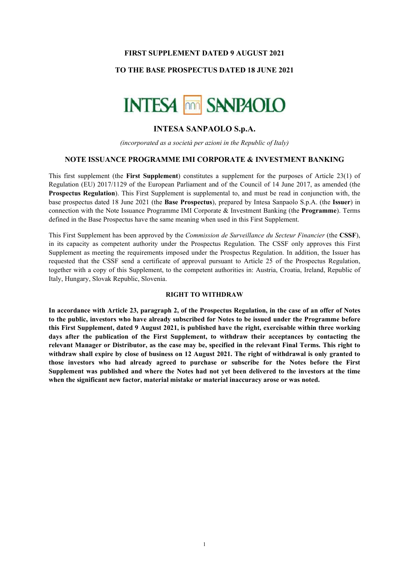### FIRST SUPPLEMENT DATED 9 AUGUST 2021

### TO THE BASE PROSPECTUS DATED 18 JUNE 2021



# INTESA SANPAOLO S.p.A.

(incorporated as a società per azioni in the Republic of Italy)

### NOTE ISSUANCE PROGRAMME IMI CORPORATE & INVESTMENT BANKING

This first supplement (the First Supplement) constitutes a supplement for the purposes of Article 23(1) of Regulation (EU) 2017/1129 of the European Parliament and of the Council of 14 June 2017, as amended (the Prospectus Regulation). This First Supplement is supplemental to, and must be read in conjunction with, the base prospectus dated 18 June 2021 (the Base Prospectus), prepared by Intesa Sanpaolo S.p.A. (the Issuer) in connection with the Note Issuance Programme IMI Corporate & Investment Banking (the Programme). Terms defined in the Base Prospectus have the same meaning when used in this First Supplement.

This First Supplement has been approved by the Commission de Surveillance du Secteur Financier (the CSSF), in its capacity as competent authority under the Prospectus Regulation. The CSSF only approves this First Supplement as meeting the requirements imposed under the Prospectus Regulation. In addition, the Issuer has requested that the CSSF send a certificate of approval pursuant to Article 25 of the Prospectus Regulation, together with a copy of this Supplement, to the competent authorities in: Austria, Croatia, Ireland, Republic of Italy, Hungary, Slovak Republic, Slovenia.

#### RIGHT TO WITHDRAW

In accordance with Article 23, paragraph 2, of the Prospectus Regulation, in the case of an offer of Notes to the public, investors who have already subscribed for Notes to be issued under the Programme before this First Supplement, dated 9 August 2021, is published have the right, exercisable within three working days after the publication of the First Supplement, to withdraw their acceptances by contacting the relevant Manager or Distributor, as the case may be, specified in the relevant Final Terms. This right to withdraw shall expire by close of business on 12 August 2021. The right of withdrawal is only granted to those investors who had already agreed to purchase or subscribe for the Notes before the First Supplement was published and where the Notes had not yet been delivered to the investors at the time when the significant new factor, material mistake or material inaccuracy arose or was noted.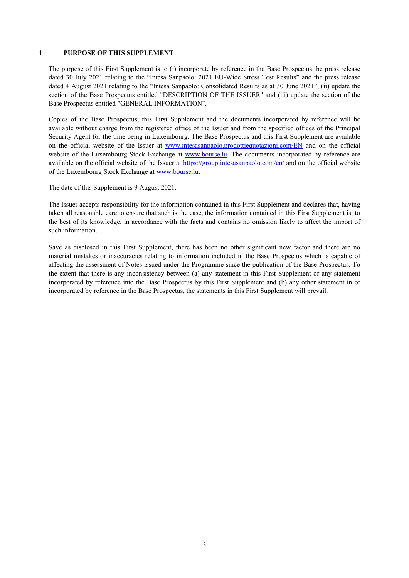#### 1 PURPOSE OF THIS SUPPLEMENT

The purpose of this First Supplement is to (i) incorporate by reference in the Base Prospectus the press release dated 30 July 2021 relating to the "Intesa Sanpaolo: 2021 EU-Wide Stress Test Results" and the press release dated 4 August 2021 relating to the "Intesa Sanpaolo: Consolidated Results as at 30 June 2021"; (ii) update the section of the Base Prospectus entitled "DESCRIPTION OF THE ISSUER" and (iii) update the section of the Base Prospectus entitled "GENERAL INFORMATION".

Copies of the Base Prospectus, this First Supplement and the documents incorporated by reference will be available without charge from the registered office of the Issuer and from the specified offices of the Principal Security Agent for the time being in Luxembourg. The Base Prospectus and this First Supplement are available on the official website of the Issuer at www.intesasanpaolo.prodottiequotazioni.com/EN and on the official website of the Luxembourg Stock Exchange at www.bourse.lu. The documents incorporated by reference are available on the official website of the Issuer at https://group.intesasanpaolo.com/en/ and on the official website of the Luxembourg Stock Exchange at www.bourse.lu.

The date of this Supplement is 9 August 2021.

The Issuer accepts responsibility for the information contained in this First Supplement and declares that, having taken all reasonable care to ensure that such is the case, the information contained in this First Supplement is, to the best of its knowledge, in accordance with the facts and contains no omission likely to affect the import of such information.

Save as disclosed in this First Supplement, there has been no other significant new factor and there are no material mistakes or inaccuracies relating to information included in the Base Prospectus which is capable of affecting the assessment of Notes issued under the Programme since the publication of the Base Prospectus. To the extent that there is any inconsistency between (a) any statement in this First Supplement or any statement incorporated by reference into the Base Prospectus by this First Supplement and (b) any other statement in or incorporated by reference in the Base Prospectus, the statements in this First Supplement will prevail.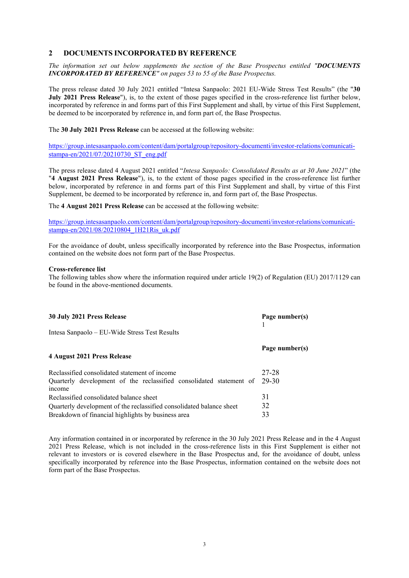### 2 DOCUMENTS INCORPORATED BY REFERENCE

The information set out below supplements the section of the Base Prospectus entitled "DOCUMENTS INCORPORATED BY REFERENCE" on pages 53 to 55 of the Base Prospectus.

The press release dated 30 July 2021 entitled "Intesa Sanpaolo: 2021 EU-Wide Stress Test Results" (the "30 July 2021 Press Release"), is, to the extent of those pages specified in the cross-reference list further below, incorporated by reference in and forms part of this First Supplement and shall, by virtue of this First Supplement, be deemed to be incorporated by reference in, and form part of, the Base Prospectus.

The 30 July 2021 Press Release can be accessed at the following website:

https://group.intesasanpaolo.com/content/dam/portalgroup/repository-documenti/investor-relations/comunicatistampa-en/2021/07/20210730\_ST\_eng.pdf

The press release dated 4 August 2021 entitled "Intesa Sanpaolo: Consolidated Results as at 30 June 2021" (the "4 August 2021 Press Release"), is, to the extent of those pages specified in the cross-reference list further below, incorporated by reference in and forms part of this First Supplement and shall, by virtue of this First Supplement, be deemed to be incorporated by reference in, and form part of, the Base Prospectus.

The 4 August 2021 Press Release can be accessed at the following website:

https://group.intesasanpaolo.com/content/dam/portalgroup/repository-documenti/investor-relations/comunicatistampa-en/2021/08/20210804\_1H21Ris\_uk.pdf

For the avoidance of doubt, unless specifically incorporated by reference into the Base Prospectus, information contained on the website does not form part of the Base Prospectus.

#### Cross-reference list

The following tables show where the information required under article 19(2) of Regulation (EU) 2017/1129 can be found in the above-mentioned documents.

| 30 July 2021 Press Release                                                    | Page number(s) |
|-------------------------------------------------------------------------------|----------------|
| Intesa Sanpaolo – EU-Wide Stress Test Results                                 |                |
| 4 August 2021 Press Release                                                   | Page number(s) |
| Reclassified consolidated statement of income                                 | 27-28          |
| Quarterly development of the reclassified consolidated statement of<br>income | 29-30          |
| Reclassified consolidated balance sheet                                       | 31             |
| Quarterly development of the reclassified consolidated balance sheet          | 32             |
| Breakdown of financial highlights by business area                            | 33             |

Any information contained in or incorporated by reference in the 30 July 2021 Press Release and in the 4 August 2021 Press Release, which is not included in the cross-reference lists in this First Supplement is either not relevant to investors or is covered elsewhere in the Base Prospectus and, for the avoidance of doubt, unless specifically incorporated by reference into the Base Prospectus, information contained on the website does not form part of the Base Prospectus.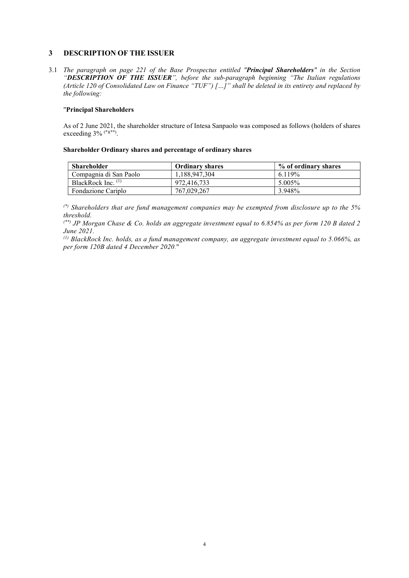# 3 DESCRIPTION OF THE ISSUER

3.1 The paragraph on page 221 of the Base Prospectus entitled "Principal Shareholders" in the Section "DESCRIPTION OF THE ISSUER", before the sub-paragraph beginning "The Italian regulations (Article 120 of Consolidated Law on Finance "TUF") […]" shall be deleted in its entirety and replaced by the following:

### "Principal Shareholders

As of 2 June 2021, the shareholder structure of Intesa Sanpaolo was composed as follows (holders of shares exceeding 3% <sup>(\*)(\*\*)</sup>.

### Shareholder Ordinary shares and percentage of ordinary shares

| <b>Shareholder</b>     | <b>Ordinary shares</b> | % of ordinary shares |
|------------------------|------------------------|----------------------|
| Compagnia di San Paolo | 1.188.947.304          | 6.119%               |
| BlackRock Inc. $(1)$   | 972,416,733            | 5.005%               |
| Fondazione Cariplo     | 767,029,267            | 3.948%               |

 $(*)$  Shareholders that are fund management companies may be exempted from disclosure up to the 5% threshold.

 $(*)$  JP Morgan Chase & Co. holds an aggregate investment equal to 6.854% as per form 120 B dated 2 June 2021.

 $^{(1)}$  BlackRock Inc. holds, as a fund management company, an aggregate investment equal to 5.066%, as per form 120B dated 4 December 2020."